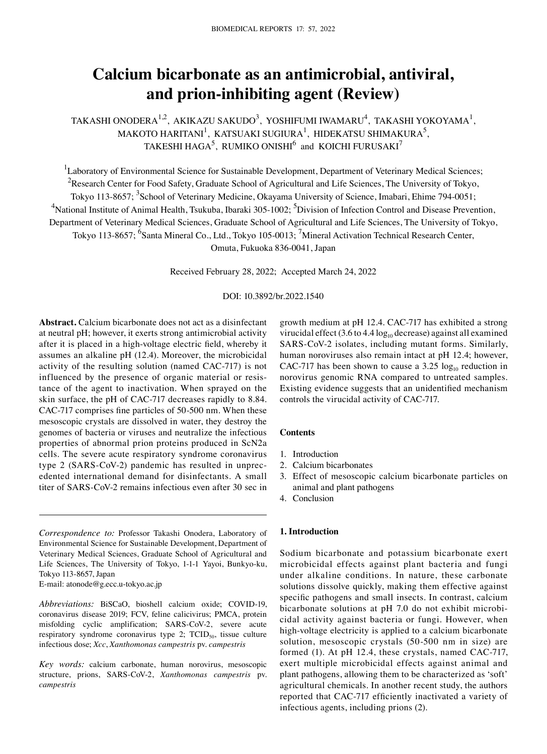# **Calcium bicarbonate as an antimicrobial, antiviral, and prion‑inhibiting agent (Review)**

TAKASHI ONODERA $^{1,2}$ , AKIKAZU SAKUDO $^3$ , YOSHIFUMI IWAMARU $^4$ , TAKASHI YOKOYAMA $^1$ , MAKOTO HARITANI $^1$ , KATSUAKI SUGIURA $^1$ , HIDEKATSU SHIMAKURA $^5$ , TAKESHI HAGA $^5$ , RUMIKO ONISHI $^6$  and KOICHI FURUSAKI $^7$ 

<sup>1</sup>Laboratory of Environmental Science for Sustainable Development, Department of Veterinary Medical Sciences; <sup>2</sup>Research Center for Food Safety, Graduate School of Agricultural and Life Sciences, The University of Tokyo, Tokyo 113-8657; <sup>3</sup>School of Veterinary Medicine, Okayama University of Science, Imabari, Ehime 794-0051; <sup>4</sup>National Institute of Animal Health, Tsukuba, Ibaraki 305-1002; <sup>5</sup>Division of Infection Control and Disease Prevention, Department of Veterinary Medical Sciences, Graduate School of Agricultural and Life Sciences, The University of Tokyo, Tokyo 113-8657; <sup>6</sup>Santa Mineral Co., Ltd., Tokyo 105-0013; <sup>7</sup>Mineral Activation Technical Research Center, Omuta, Fukuoka 836‑0041, Japan

Received February 28, 2022; Accepted March 24, 2022

DOI: 10.3892/br.2022.1540

**Abstract.** Calcium bicarbonate does not act as a disinfectant at neutral pH; however, it exerts strong antimicrobial activity after it is placed in a high-voltage electric field, whereby it assumes an alkaline pH (12.4). Moreover, the microbicidal activity of the resulting solution (named CAC‑717) is not influenced by the presence of organic material or resistance of the agent to inactivation. When sprayed on the skin surface, the pH of CAC-717 decreases rapidly to 8.84. CAC‑717 comprises fine particles of 50‑500 nm. When these mesoscopic crystals are dissolved in water, they destroy the genomes of bacteria or viruses and neutralize the infectious properties of abnormal prion proteins produced in ScN2a cells. The severe acute respiratory syndrome coronavirus type 2 (SARS-CoV-2) pandemic has resulted in unprecedented international demand for disinfectants. A small titer of SARS‑CoV‑2 remains infectious even after 30 sec in

E‑mail: atonode@g.ecc.u‑tokyo.ac.jp

*Key words:* calcium carbonate, human norovirus, mesoscopic structure, prions, SARS‑CoV‑2, *Xanthomonas campestris* pv. *campestris*

growth medium at pH 12.4. CAC‑717 has exhibited a strong virucidal effect  $(3.6 \text{ to } 4.4 \log_{10} \text{decrease})$  against all examined SARS-CoV-2 isolates, including mutant forms. Similarly, human noroviruses also remain intact at pH 12.4; however, CAC-717 has been shown to cause a 3.25  $log_{10}$  reduction in norovirus genomic RNA compared to untreated samples. Existing evidence suggests that an unidentified mechanism controls the virucidal activity of CAC‑717.

## **Contents**

- 1. Introduction
- 2. Calcium bicarbonates
- 3. Effect of mesoscopic calcium bicarbonate particles on animal and plant pathogens
- 4. Conclusion

# **1. Introduction**

Sodium bicarbonate and potassium bicarbonate exert microbicidal effects against plant bacteria and fungi under alkaline conditions. In nature, these carbonate solutions dissolve quickly, making them effective against specific pathogens and small insects. In contrast, calcium bicarbonate solutions at pH 7.0 do not exhibit microbicidal activity against bacteria or fungi. However, when high-voltage electricity is applied to a calcium bicarbonate solution, mesoscopic crystals (50‑500 nm in size) are formed (1). At pH 12.4, these crystals, named CAC‑717, exert multiple microbicidal effects against animal and plant pathogens, allowing them to be characterized as 'soft' agricultural chemicals. In another recent study, the authors reported that CAC‑717 efficiently inactivated a variety of infectious agents, including prions (2).

*Correspondence to:* Professor Takashi Onodera, Laboratory of Environmental Science for Sustainable Development, Department of Veterinary Medical Sciences, Graduate School of Agricultural and Life Sciences, The University of Tokyo, 1-1-1 Yayoi, Bunkyo-ku, Tokyo 113‑8657, Japan

*Abbreviations:* BiSCaO, bioshell calcium oxide; COVID‑19, coronavirus disease 2019; FCV, feline calicivirus; PMCA, protein misfolding cyclic amplification; SARS‑CoV‑2, severe acute respiratory syndrome coronavirus type 2;  $TCID_{50}$ , tissue culture infectious dose; *Xcc*, *Xanthomonas campestris* pv. *campestris*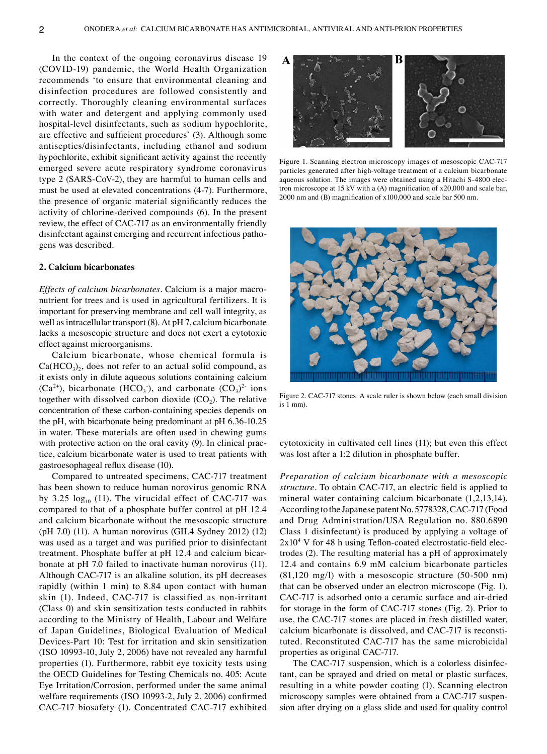In the context of the ongoing coronavirus disease 19 (COVID‑19) pandemic, the World Health Organization recommends 'to ensure that environmental cleaning and disinfection procedures are followed consistently and correctly. Thoroughly cleaning environmental surfaces with water and detergent and applying commonly used hospital-level disinfectants, such as sodium hypochlorite, are effective and sufficient procedures' (3). Although some antiseptics/disinfectants, including ethanol and sodium hypochlorite, exhibit significant activity against the recently emerged severe acute respiratory syndrome coronavirus type 2 (SARS‑CoV‑2), they are harmful to human cells and must be used at elevated concentrations (4‑7). Furthermore, the presence of organic material significantly reduces the activity of chlorine‑derived compounds (6). In the present review, the effect of CAC‑717 as an environmentally friendly disinfectant against emerging and recurrent infectious pathogens was described.

## **2. Calcium bicarbonates**

*Effects of calcium bicarbonates.* Calcium is a major macronutrient for trees and is used in agricultural fertilizers. It is important for preserving membrane and cell wall integrity, as well as intracellular transport (8). At pH 7, calcium bicarbonate lacks a mesoscopic structure and does not exert a cytotoxic effect against microorganisms.

Calcium bicarbonate, whose chemical formula is  $Ca(HCO<sub>3</sub>)$ , does not refer to an actual solid compound, as it exists only in dilute aqueous solutions containing calcium  $(Ca^{2+})$ , bicarbonate  $(HCO<sub>3</sub>)$ , and carbonate  $(CO<sub>3</sub>)<sup>2</sup>$  ions together with dissolved carbon dioxide  $(CO<sub>2</sub>)$ . The relative concentration of these carbon‑containing species depends on the pH, with bicarbonate being predominant at pH 6.36‑10.25 in water. These materials are often used in chewing gums with protective action on the oral cavity (9). In clinical practice, calcium bicarbonate water is used to treat patients with gastroesophageal reflux disease (10).

Compared to untreated specimens, CAC‑717 treatment has been shown to reduce human norovirus genomic RNA by 3.25  $log_{10}$  (11). The virucidal effect of CAC-717 was compared to that of a phosphate buffer control at pH 12.4 and calcium bicarbonate without the mesoscopic structure (pH 7.0) (11). A human norovirus (GII.4 Sydney 2012) (12) was used as a target and was purified prior to disinfectant treatment. Phosphate buffer at pH 12.4 and calcium bicarbonate at pH 7.0 failed to inactivate human norovirus (11). Although CAC‑717 is an alkaline solution, its pH decreases rapidly (within 1 min) to 8.84 upon contact with human skin (1). Indeed, CAC-717 is classified as non-irritant (Class 0) and skin sensitization tests conducted in rabbits according to the Ministry of Health, Labour and Welfare of Japan Guidelines, Biological Evaluation of Medical Devices‑Part 10: Test for irritation and skin sensitization (ISO 10993‑10, July 2, 2006) have not revealed any harmful properties (1). Furthermore, rabbit eye toxicity tests using the OECD Guidelines for Testing Chemicals no. 405: Acute Eye Irritation/Corrosion, performed under the same animal welfare requirements (ISO 10993‑2, July 2, 2006) confirmed CAC‑717 biosafety (1). Concentrated CAC‑717 exhibited



Figure 1. Scanning electron microscopy images of mesoscopic CAC‑717 particles generated after high-voltage treatment of a calcium bicarbonate aqueous solution. The images were obtained using a Hitachi S-4800 electron microscope at 15 kV with a (A) magnification of x20,000 and scale bar, 2000 nm and (B) magnification of x100,000 and scale bar 500 nm.



Figure 2. CAC‑717 stones. A scale ruler is shown below (each small division is 1 mm).

cytotoxicity in cultivated cell lines (11); but even this effect was lost after a 1:2 dilution in phosphate buffer.

*Preparation of calcium bicarbonate with a mesoscopic structure.* To obtain CAC‑717, an electric field is applied to mineral water containing calcium bicarbonate (1,2,13,14). According to the Japanese patent No. 5778328, CAC‑717 (Food and Drug Administration/USA Regulation no. 880.6890 Class 1 disinfectant) is produced by applying a voltage of  $2x10<sup>4</sup>$  V for 48 h using Teflon-coated electrostatic-field electrodes (2). The resulting material has a pH of approximately 12.4 and contains 6.9 mM calcium bicarbonate particles (81,120 mg/l) with a mesoscopic structure (50‑500 nm) that can be observed under an electron microscope (Fig. 1). CAC‑717 is adsorbed onto a ceramic surface and air‑dried for storage in the form of CAC‑717 stones (Fig. 2). Prior to use, the CAC‑717 stones are placed in fresh distilled water, calcium bicarbonate is dissolved, and CAC-717 is reconstituted. Reconstituted CAC‑717 has the same microbicidal properties as original CAC‑717.

The CAC-717 suspension, which is a colorless disinfectant, can be sprayed and dried on metal or plastic surfaces, resulting in a white powder coating (1). Scanning electron microscopy samples were obtained from a CAC-717 suspension after drying on a glass slide and used for quality control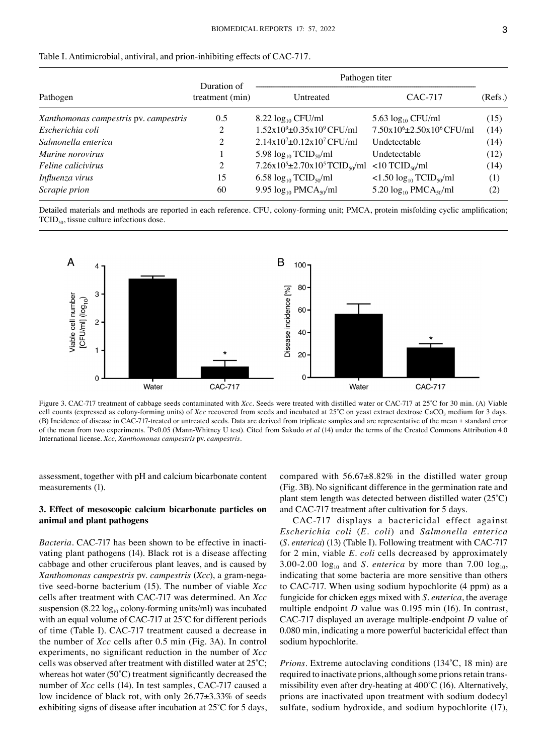| Pathogen                              | Duration of<br>treatment (min) | Pathogen titer                                                                            |                                                   |         |
|---------------------------------------|--------------------------------|-------------------------------------------------------------------------------------------|---------------------------------------------------|---------|
|                                       |                                | Untreated                                                                                 | CAC-717                                           | (Refs.) |
| Xanthomonas campestris pv. campestris | 0.5                            | $8.22 \log_{10} CFU/ml$                                                                   | 5.63 $log_{10}$ CFU/ml                            | (15)    |
| Escherichia coli                      | 2                              | $1.52x109\pm0.35x109 CFU/ml$                                                              | 7.50x10 <sup>6</sup> ±2.50x10 <sup>6</sup> CFU/ml | (14)    |
| Salmonella enterica                   | 2                              | $2.14x10^{7} \pm 0.12x10^{7}$ CFU/ml                                                      | Undetectable                                      | (14)    |
| Murine norovirus                      |                                | 5.98 $log_{10}$ TCID <sub>50</sub> /ml                                                    | Undetectable                                      | (12)    |
| <i>Feline calicivirus</i>             | 2                              | $7.26 \times 10^5 \pm 2.70 \times 10^5$ TCID <sub>50</sub> /ml <10 TCID <sub>50</sub> /ml |                                                   | (14)    |
| Influenza virus                       | 15                             | 6.58 $log_{10} TCID_{50}/ml$                                                              | $1.50 \log_{10} TCID_{50}/ml$                     | (1)     |
| Scrapie prion                         | 60                             | 9.95 $log_{10}$ PMCA <sub>50</sub> /ml                                                    | 5.20 $log_{10}$ PMCA <sub>50</sub> /ml            | (2)     |

Detailed materials and methods are reported in each reference. CFU, colony-forming unit; PMCA, protein misfolding cyclic amplification;  $TCID_{50}$ , tissue culture infectious dose.



Figure 3. CAC‑717 treatment of cabbage seeds contaminated with *Xcc*. Seeds were treated with distilled water or CAC‑717 at 25˚C for 30 min. (A) Viable cell counts (expressed as colony-forming units) of *Xcc* recovered from seeds and incubated at 25°C on yeast extract dextrose CaCO<sub>3</sub> medium for 3 days. (B) Incidence of disease in CAC‑717‑treated or untreated seeds. Data are derived from triplicate samples and are representative of the mean ± standard error of the mean from two experiments. \*P<0.05 (Mann-Whitney U test). Cited from Sakudo *et al* (14) under the terms of the Created Commons Attribution 4.0 International license. *Xcc*, *Xanthomonas campestris* pv. *campestris.*

assessment, together with pH and calcium bicarbonate content measurements (1).

# **3. Effect of mesoscopic calcium bicarbonate particles on animal and plant pathogens**

*Bacteria.* CAC-717 has been shown to be effective in inactivating plant pathogens (14). Black rot is a disease affecting cabbage and other cruciferous plant leaves, and is caused by *Xanthomonas campestris* pv. *campestris* (*Xcc*), a gram‑nega‑ tive seed‑borne bacterium (15). The number of viable *Xcc* cells after treatment with CAC‑717 was determined. An *Xcc* suspension (8.22  $log_{10}$  colony-forming units/ml) was incubated with an equal volume of CAC-717 at 25°C for different periods of time (Table I). CAC‑717 treatment caused a decrease in the number of *Xcc* cells after 0.5 min (Fig. 3A). In control experiments, no significant reduction in the number of *Xcc* cells was observed after treatment with distilled water at 25˚C; whereas hot water (50˚C) treatment significantly decreased the number of *Xcc* cells (14). In test samples, CAC-717 caused a low incidence of black rot, with only 26.77±3.33% of seeds exhibiting signs of disease after incubation at 25˚C for 5 days, compared with  $56.67\pm8.82\%$  in the distilled water group (Fig. 3B). No significant difference in the germination rate and plant stem length was detected between distilled water (25˚C) and CAC‑717 treatment after cultivation for 5 days.

CAC‑717 displays a bactericidal effect against *Escherichia coli* (*E. coli*) and *Salmonella enterica*  (*S. enterica*) (13) (Table I). Following treatment with CAC‑717 for 2 min, viable *E. coli* cells decreased by approximately 3.00–2.00  $log_{10}$  and *S. enterica* by more than 7.00  $log_{10}$ , indicating that some bacteria are more sensitive than others to CAC‑717. When using sodium hypochlorite (4 ppm) as a fungicide for chicken eggs mixed with *S. enterica*, the average multiple endpoint *D* value was 0.195 min (16). In contrast, CAC‑717 displayed an average multiple‑endpoint *D* value of 0.080 min, indicating a more powerful bactericidal effect than sodium hypochlorite.

*Prions.* Extreme autoclaving conditions (134°C, 18 min) are required to inactivate prions, although some prions retain trans‑ missibility even after dry-heating at  $400^{\circ}$ C (16). Alternatively, prions are inactivated upon treatment with sodium dodecyl sulfate, sodium hydroxide, and sodium hypochlorite (17),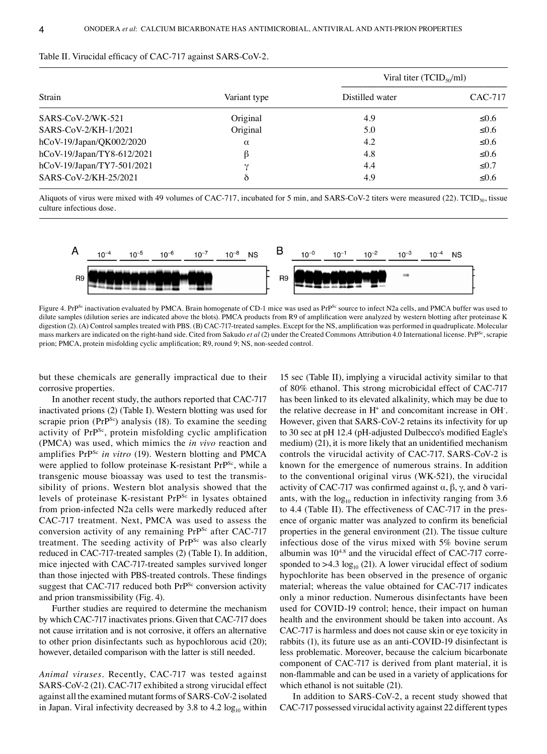| Strain                     |              | Viral titer (TCID <sub>50</sub> /ml) |            |  |
|----------------------------|--------------|--------------------------------------|------------|--|
|                            | Variant type | Distilled water                      | CAC-717    |  |
| $SARS-CoV-2/WK-521$        | Original     | 4.9                                  | ≤0.6       |  |
| SARS-CoV-2/KH-1/2021       | Original     | 5.0                                  | ≤0.6       |  |
| hCoV-19/Japan/QK002/2020   | $\alpha$     | 4.2                                  | $≤0.6$     |  |
| hCoV-19/Japan/TY8-612/2021 | ß            | 4.8                                  | $≤0.6$     |  |
| hCoV-19/Japan/TY7-501/2021 | ۰,           | 4.4                                  | $\leq 0.7$ |  |
| SARS-CoV-2/KH-25/2021      | δ            | 4.9                                  | ≤0.6       |  |

### Table II. Virucidal efficacy of CAC-717 against SARS-CoV-2.

Aliquots of virus were mixed with 49 volumes of CAC-717, incubated for 5 min, and SARS-CoV-2 titers were measured (22). TCID<sub>50</sub>, tissue culture infectious dose.



Figure 4. PrP<sup>Sc</sup> inactivation evaluated by PMCA. Brain homogenate of CD-1 mice was used as PrP<sup>Sc</sup> source to infect N2a cells, and PMCA buffer was used to dilute samples (dilution series are indicated above the blots). PMCA products from R9 of amplification were analyzed by western blotting after proteinase K digestion (2). (A) Control samples treated with PBS. (B) CAC-717-treated samples. Except for the NS, amplification was performed in quadruplicate. Molecular mass markers are indicated on the right-hand side. Cited from Sakudo *et al* (2) under the Created Commons Attribution 4.0 International license. PrP<sup>Sc</sup>, scrapie prion; PMCA, protein misfolding cyclic amplification; R9, round 9; NS, non-seeded control.

but these chemicals are generally impractical due to their corrosive properties.

In another recent study, the authors reported that CAC‑717 inactivated prions (2) (Table I). Western blotting was used for scrapie prion  $(PrP^{Sc})$  analysis (18). To examine the seeding activity of PrPSc, protein misfolding cyclic amplification (PMCA) was used, which mimics the *in vivo* reaction and amplifies PrP<sup>Sc</sup> in vitro (19). Western blotting and PMCA were applied to follow proteinase K-resistant PrP<sup>Sc</sup>, while a transgenic mouse bioassay was used to test the transmis‑ sibility of prions. Western blot analysis showed that the levels of proteinase K-resistant PrP<sup>Sc</sup> in lysates obtained from prion-infected N2a cells were markedly reduced after CAC‑717 treatment. Next, PMCA was used to assess the conversion activity of any remaining PrP<sup>Sc</sup> after CAC-717 treatment. The seeding activity of PrP<sup>Sc</sup> was also clearly reduced in CAC‑717‑treated samples (2) (Table I). In addition, mice injected with CAC‑717‑treated samples survived longer than those injected with PBS‑treated controls. These findings suggest that CAC-717 reduced both PrP<sup>Sc</sup> conversion activity and prion transmissibility (Fig. 4).

Further studies are required to determine the mechanism by which CAC‑717 inactivates prions. Given that CAC‑717 does not cause irritation and is not corrosive, it offers an alternative to other prion disinfectants such as hypochlorous acid (20); however, detailed comparison with the latter is still needed.

*Animal viruses.* Recently, CAC‑717 was tested against SARS-CoV-2 (21). CAC-717 exhibited a strong virucidal effect against all the examined mutant forms of SARS‑CoV‑2 isolated in Japan. Viral infectivity decreased by 3.8 to 4.2  $log_{10}$  within

15 sec (Table II), implying a virucidal activity similar to that of 80% ethanol. This strong microbicidal effect of CAC‑717 has been linked to its elevated alkalinity, which may be due to the relative decrease in  $H^+$  and concomitant increase in  $OH$ . However, given that SARS-CoV-2 retains its infectivity for up to 30 sec at pH 12.4 (pH‑adjusted Dulbecco's modified Eagle's medium) (21), it is more likely that an unidentified mechanism controls the virucidal activity of CAC‑717. SARS‑CoV‑2 is known for the emergence of numerous strains. In addition to the conventional original virus (WK‑521), the virucidal activity of CAC-717 was confirmed against  $\alpha$ ,  $\beta$ ,  $\gamma$ , and  $\delta$  vari– ants, with the  $log_{10}$  reduction in infectivity ranging from 3.6 to 4.4 (Table II). The effectiveness of CAC-717 in the presence of organic matter was analyzed to confirm its beneficial properties in the general environment (21). The tissue culture infectious dose of the virus mixed with 5% bovine serum albumin was  $10^{4.8}$  and the virucidal effect of CAC-717 corresponded to  $>4.3 \log_{10} (21)$ . A lower virucidal effect of sodium hypochlorite has been observed in the presence of organic material; whereas the value obtained for CAC‑717 indicates only a minor reduction. Numerous disinfectants have been used for COVID-19 control; hence, their impact on human health and the environment should be taken into account. As CAC‑717 is harmless and does not cause skin or eye toxicity in rabbits (1), its future use as an anti-COVID-19 disinfectant is less problematic. Moreover, because the calcium bicarbonate component of CAC‑717 is derived from plant material, it is non‑flammable and can be used in a variety of applications for which ethanol is not suitable (21).

In addition to SARS-CoV-2, a recent study showed that CAC‑717 possessed virucidal activity against 22 different types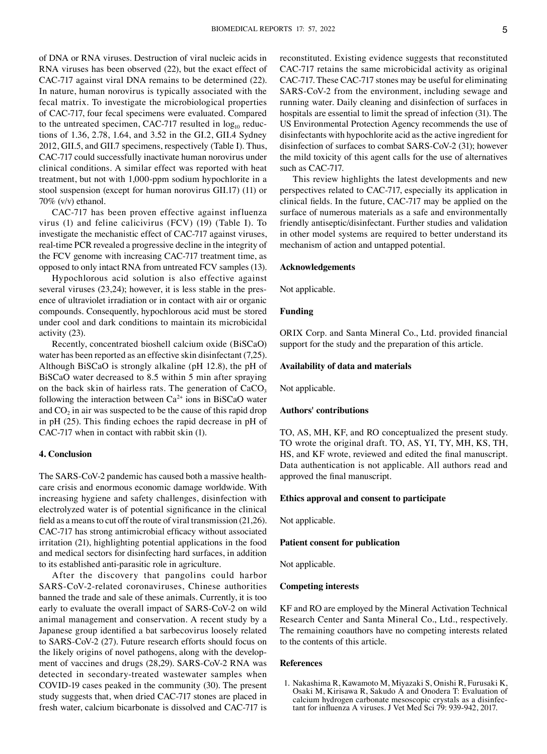of DNA or RNA viruses. Destruction of viral nucleic acids in RNA viruses has been observed (22), but the exact effect of CAC‑717 against viral DNA remains to be determined (22). In nature, human norovirus is typically associated with the fecal matrix. To investigate the microbiological properties of CAC‑717, four fecal specimens were evaluated. Compared to the untreated specimen, CAC-717 resulted in  $log_{10}$  reductions of 1.36, 2.78, 1.64, and 3.52 in the GI.2, GII.4 Sydney 2012, GII.5, and GII.7 specimens, respectively (Table I). Thus, CAC‑717 could successfully inactivate human norovirus under clinical conditions. A similar effect was reported with heat treatment, but not with 1,000‑ppm sodium hypochlorite in a stool suspension (except for human norovirus GII.17) (11) or  $70\%$  (v/v) ethanol.

CAC‑717 has been proven effective against influenza virus (1) and feline calicivirus (FCV) (19) (Table I). To investigate the mechanistic effect of CAC‑717 against viruses, real-time PCR revealed a progressive decline in the integrity of the FCV genome with increasing CAC‑717 treatment time, as opposed to only intact RNA from untreated FCV samples (13).

Hypochlorous acid solution is also effective against several viruses  $(23,24)$ ; however, it is less stable in the presence of ultraviolet irradiation or in contact with air or organic compounds. Consequently, hypochlorous acid must be stored under cool and dark conditions to maintain its microbicidal activity (23).

Recently, concentrated bioshell calcium oxide (BiSCaO) water has been reported as an effective skin disinfectant (7,25). Although BiSCaO is strongly alkaline (pH 12.8), the pH of BiSCaO water decreased to 8.5 within 5 min after spraying on the back skin of hairless rats. The generation of  $CaCO<sub>3</sub>$ following the interaction between  $Ca^{2+}$  ions in BiSCaO water and  $CO<sub>2</sub>$  in air was suspected to be the cause of this rapid drop in pH (25). This finding echoes the rapid decrease in pH of CAC‑717 when in contact with rabbit skin (1).

#### **4. Conclusion**

The SARS-CoV-2 pandemic has caused both a massive health– care crisis and enormous economic damage worldwide. With increasing hygiene and safety challenges, disinfection with electrolyzed water is of potential significance in the clinical field as a means to cut off the route of viral transmission (21,26). CAC‑717 has strong antimicrobial efficacy without associated irritation (21), highlighting potential applications in the food and medical sectors for disinfecting hard surfaces, in addition to its established anti‑parasitic role in agriculture.

After the discovery that pangolins could harbor SARS-CoV-2-related coronaviruses, Chinese authorities banned the trade and sale of these animals. Currently, it is too early to evaluate the overall impact of SARS-CoV-2 on wild animal management and conservation. A recent study by a Japanese group identified a bat sarbecovirus loosely related to SARS-CoV-2 (27). Future research efforts should focus on the likely origins of novel pathogens, along with the development of vaccines and drugs (28,29). SARS-CoV-2 RNA was detected in secondary‑treated wastewater samples when COVID‑19 cases peaked in the community (30). The present study suggests that, when dried CAC‑717 stones are placed in fresh water, calcium bicarbonate is dissolved and CAC‑717 is reconstituted. Existing evidence suggests that reconstituted CAC‑717 retains the same microbicidal activity as original CAC‑717. These CAC‑717 stones may be useful for eliminating SARS-CoV-2 from the environment, including sewage and running water. Daily cleaning and disinfection of surfaces in hospitals are essential to limit the spread of infection (31). The US Environmental Protection Agency recommends the use of disinfectants with hypochlorite acid as the active ingredient for disinfection of surfaces to combat SARS-CoV-2 (31); however the mild toxicity of this agent calls for the use of alternatives such as CAC-717.

This review highlights the latest developments and new perspectives related to CAC‑717, especially its application in clinical fields. In the future, CAC‑717 may be applied on the surface of numerous materials as a safe and environmentally friendly antiseptic/disinfectant. Further studies and validation in other model systems are required to better understand its mechanism of action and untapped potential.

## **Acknowledgements**

Not applicable.

# **Funding**

ORIX Corp. and Santa Mineral Co., Ltd. provided financial support for the study and the preparation of this article.

#### **Availability of data and materials**

Not applicable.

## **Authors' contributions**

TO, AS, MH, KF, and RO conceptualized the present study. TO wrote the original draft. TO, AS, YI, TY, MH, KS, TH, HS, and KF wrote, reviewed and edited the final manuscript. Data authentication is not applicable. All authors read and approved the final manuscript.

## **Ethics approval and consent to participate**

Not applicable.

#### **Patient consent for publication**

Not applicable.

### **Competing interests**

KF and RO are employed by the Mineral Activation Technical Research Center and Santa Mineral Co., Ltd., respectively. The remaining coauthors have no competing interests related to the contents of this article.

# **References**

1. Nakashima R, Kawamoto M, Miyazaki S, Onishi R, Furusaki K, Osaki M, Kirisawa R, Sakudo A and Onodera T: Evaluation of calcium hydrogen carbonate mesoscopic crystals as a disinfec‑ tant for influenza A viruses. J Vet Med Sci 79: 939‑942, 2017.